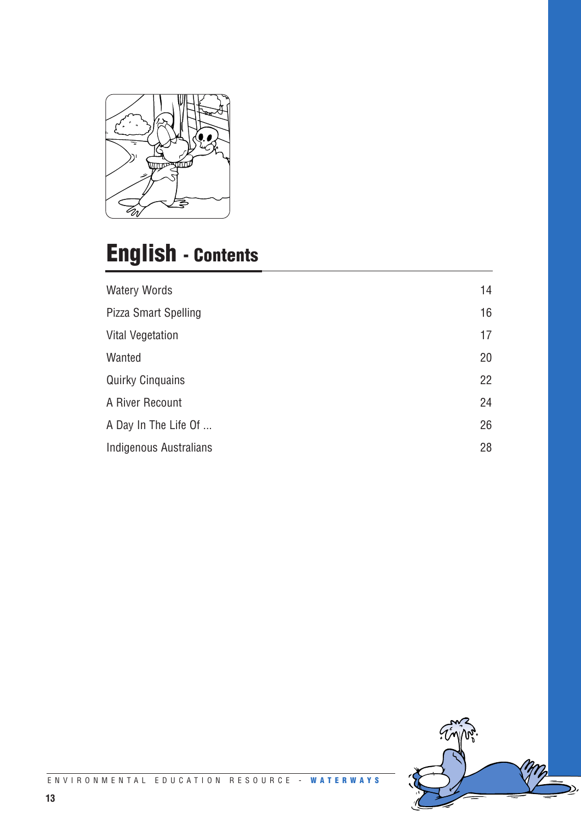

# **English - Contents**

| <b>Watery Words</b>     | 14 |
|-------------------------|----|
| Pizza Smart Spelling    | 16 |
| <b>Vital Vegetation</b> | 17 |
| Wanted                  | 20 |
| <b>Quirky Cinquains</b> | 22 |
| A River Recount         | 24 |
| A Day In The Life Of    | 26 |
| Indigenous Australians  | 28 |

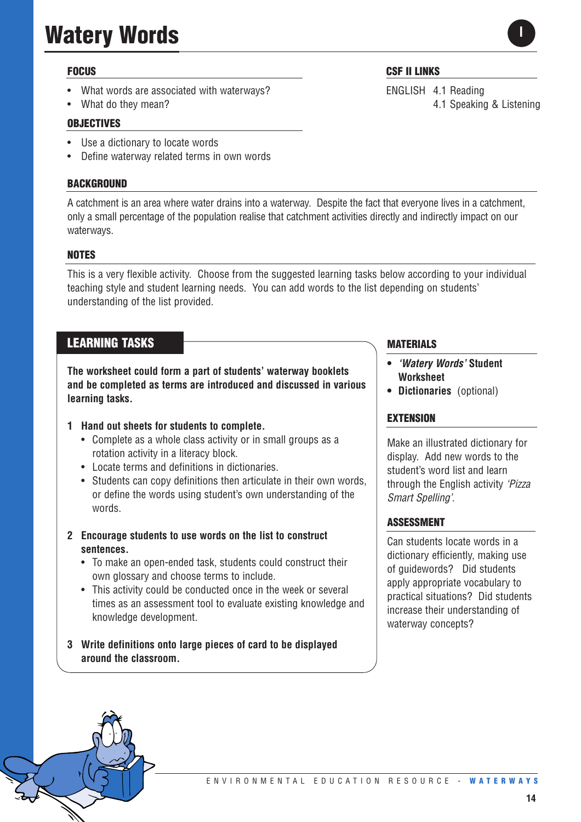# **Watery Words**

### **FOCUS**

- What words are associated with waterways?
- What do they mean?

#### **OBJECTIVES**

- Use a dictionary to locate words
- Define waterway related terms in own words

#### **BACKGROUND**

A catchment is an area where water drains into a waterway. Despite the fact that everyone lives in a catchment, only a small percentage of the population realise that catchment activities directly and indirectly impact on our waterways.

#### **NOTES**

This is a very flexible activity. Choose from the suggested learning tasks below according to your individual teaching style and student learning needs. You can add words to the list depending on students' understanding of the list provided.

# **LEARNING TASKS**

**The worksheet could form a part of students' waterway booklets and be completed as terms are introduced and discussed in various learning tasks.**

#### **1 Hand out sheets for students to complete.**

- Complete as a whole class activity or in small groups as a rotation activity in a literacy block.
- Locate terms and definitions in dictionaries.
- Students can copy definitions then articulate in their own words, or define the words using student's own understanding of the words.
- **2 Encourage students to use words on the list to construct sentences.** 
	- To make an open-ended task, students could construct their own glossary and choose terms to include.
	- This activity could be conducted once in the week or several times as an assessment tool to evaluate existing knowledge and knowledge development.
- **3 Write definitions onto large pieces of card to be displayed around the classroom.**

#### **MATERIALS**

- *'Watery Words'* **Student Worksheet**
- **Dictionaries** (optional)

#### **EXTENSION**

Make an illustrated dictionary for display. Add new words to the student's word list and learn through the English activity *'Pizza Smart Spelling'*.

#### **ASSESSMENT**

Can students locate words in a dictionary efficiently, making use of guidewords? Did students apply appropriate vocabulary to practical situations? Did students increase their understanding of waterway concepts?

**CSF II LINKS**

ENGLISH 4.1 Reading 4.1 Speaking & Listening

**I**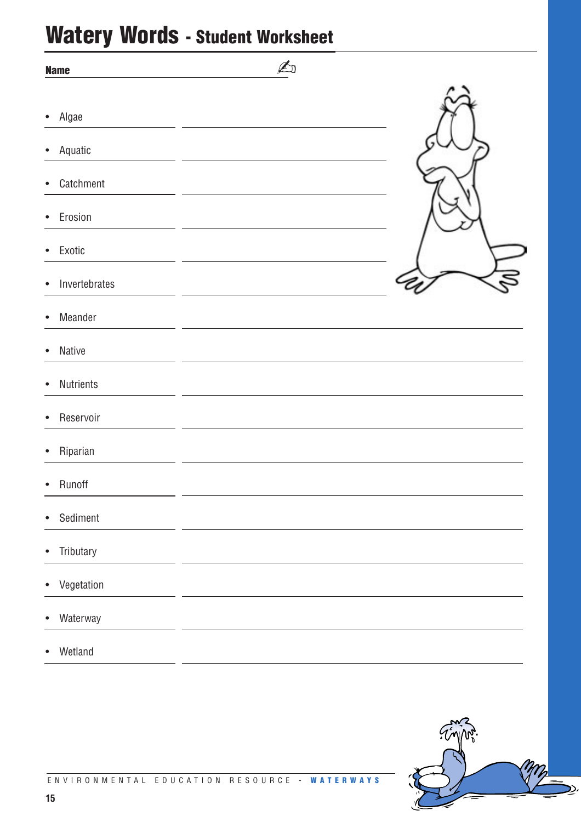# **Watery Words - Student Worksheet**

| <b>Name</b>                | A |  |
|----------------------------|---|--|
| Algae<br>$\bullet$         |   |  |
| Aquatic<br>$\bullet$       |   |  |
| Catchment<br>$\bullet$     |   |  |
| Erosion<br>$\bullet$       |   |  |
| Exotic<br>$\bullet$        |   |  |
| Invertebrates<br>$\bullet$ |   |  |
| Meander<br>$\bullet$       |   |  |
| Native<br>$\bullet$        |   |  |
| Nutrients<br>$\bullet$     |   |  |
| Reservoir<br>$\bullet$     |   |  |
| Riparian<br>$\bullet$      |   |  |
| Runoff<br>$\bullet$        |   |  |
| Sediment<br>$\bullet$      |   |  |
| Tributary<br>$\bullet$     |   |  |
| Vegetation<br>$\bullet$    |   |  |
| Waterway<br>$\bullet$      |   |  |
| Wetland<br>$\bullet$       |   |  |

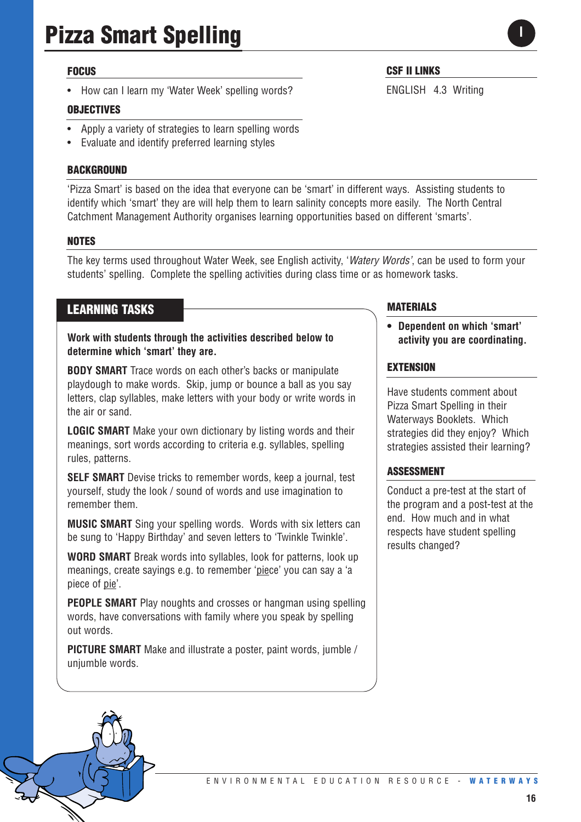#### **FOCUS**

• How can I learn my 'Water Week' spelling words?

#### **OBJECTIVES**

- Apply a variety of strategies to learn spelling words
- Evaluate and identify preferred learning styles

#### **BACKGROUND**

'Pizza Smart' is based on the idea that everyone can be 'smart' in different ways. Assisting students to identify which 'smart' they are will help them to learn salinity concepts more easily. The North Central Catchment Management Authority organises learning opportunities based on different 'smarts'.

#### **NOTES**

The key terms used throughout Water Week, see English activity, '*Watery Words'*, can be used to form your students' spelling. Complete the spelling activities during class time or as homework tasks.

# **LEARNING TASKS**

**Work with students through the activities described below to determine which 'smart' they are.** 

**BODY SMART** Trace words on each other's backs or manipulate playdough to make words. Skip, jump or bounce a ball as you say letters, clap syllables, make letters with your body or write words in the air or sand.

**LOGIC SMART** Make your own dictionary by listing words and their meanings, sort words according to criteria e.g. syllables, spelling rules, patterns.

**SELF SMART** Devise tricks to remember words, keep a journal, test yourself, study the look / sound of words and use imagination to remember them.

**MUSIC SMART** Sing your spelling words. Words with six letters can be sung to 'Happy Birthday' and seven letters to 'Twinkle Twinkle'.

**WORD SMART** Break words into syllables, look for patterns, look up meanings, create sayings e.g. to remember 'piece' you can say a 'a piece of pie'.

**PEOPLE SMART** Play noughts and crosses or hangman using spelling words, have conversations with family where you speak by spelling out words.

**PICTURE SMART** Make and illustrate a poster, paint words, jumble / uniumble words.

#### **MATERIALS**

**CSF II LINKS**

ENGLISH 4.3 Writing

**• Dependent on which 'smart' activity you are coordinating.**

#### **EXTENSION**

Have students comment about Pizza Smart Spelling in their Waterways Booklets. Which strategies did they enjoy? Which strategies assisted their learning?

#### **ASSESSMENT**

Conduct a pre-test at the start of the program and a post-test at the end. How much and in what respects have student spelling results changed?

**16**

**I**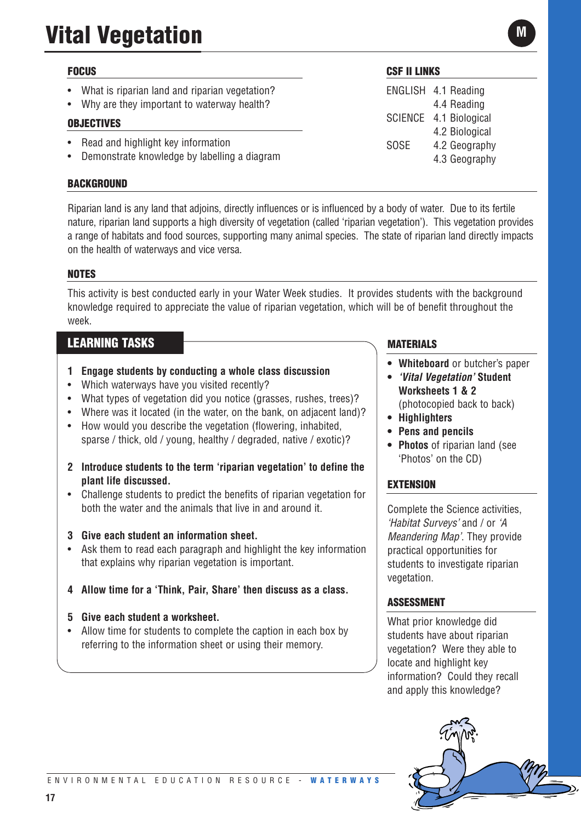# **Vital Vegetation**

# **FOCUS**

- What is riparian land and riparian vegetation?
- Why are they important to waterway health?

# **OBJECTIVES**

- Read and highlight key information
- Demonstrate knowledge by labelling a diagram

# **BACKGROUND**

Riparian land is any land that adjoins, directly influences or is influenced by a body of water. Due to its fertile nature, riparian land supports a high diversity of vegetation (called 'riparian vegetation'). This vegetation provides a range of habitats and food sources, supporting many animal species. The state of riparian land directly impacts on the health of waterways and vice versa.

# **NOTES**

This activity is best conducted early in your Water Week studies. It provides students with the background knowledge required to appreciate the value of riparian vegetation, which will be of benefit throughout the week.

# **LEARNING TASKS**

- **1 Engage students by conducting a whole class discussion**
- Which waterways have you visited recently?
- What types of vegetation did you notice (grasses, rushes, trees)?
- Where was it located (in the water, on the bank, on adjacent land)?
- How would you describe the vegetation (flowering, inhabited, sparse / thick, old / young, healthy / degraded, native / exotic)?
- **2 Introduce students to the term 'riparian vegetation' to define the plant life discussed.**
- Challenge students to predict the benefits of riparian vegetation for both the water and the animals that live in and around it.
- **3 Give each student an information sheet.**
- Ask them to read each paragraph and highlight the key information that explains why riparian vegetation is important.
- **4 Allow time for a 'Think, Pair, Share' then discuss as a class.**

# **5 Give each student a worksheet.**

**17**

• Allow time for students to complete the caption in each box by referring to the information sheet or using their memory.

# **CSF II LINKS**

ENGLISH 4.1 Reading 4.4 Reading SCIENCE 4.1 Biological 4.2 Biological SOSE 4.2 Geography 4.3 Geography

# **MATERIALS**

- **Whiteboard** or butcher's paper
- *'Vital Vegetation'* **Student Worksheets 1 & 2**
	- (photocopied back to back)
- **Highlighters**
- **Pens and pencils**
- **Photos** of riparian land (see 'Photos' on the CD)

# **EXTENSION**

Complete the Science activities, *'Habitat Surveys'* and / or *'A Meandering Map'*. They provide practical opportunities for students to investigate riparian vegetation.

# **ASSESSMENT**

What prior knowledge did students have about riparian vegetation? Were they able to locate and highlight key information? Could they recall and apply this knowledge?



**M**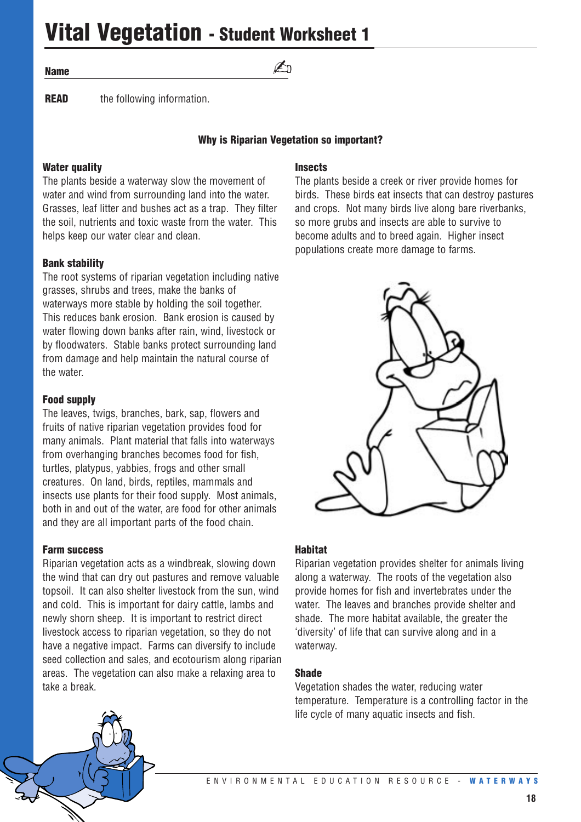**Vital Vegetation - Student Worksheet 1**

#### **Name**

**READ** the following information.

#### **Why is Riparian Vegetation so important?**

 $\n *A*$ 

# **Water quality**

The plants beside a waterway slow the movement of water and wind from surrounding land into the water. Grasses, leaf litter and bushes act as a trap. They filter the soil, nutrients and toxic waste from the water. This helps keep our water clear and clean.

#### **Bank stability**

The root systems of riparian vegetation including native grasses, shrubs and trees, make the banks of waterways more stable by holding the soil together. This reduces bank erosion. Bank erosion is caused by water flowing down banks after rain, wind, livestock or by floodwaters. Stable banks protect surrounding land from damage and help maintain the natural course of the water.

#### **Food supply**

The leaves, twigs, branches, bark, sap, flowers and fruits of native riparian vegetation provides food for many animals. Plant material that falls into waterways from overhanging branches becomes food for fish, turtles, platypus, yabbies, frogs and other small creatures. On land, birds, reptiles, mammals and insects use plants for their food supply. Most animals, both in and out of the water, are food for other animals and they are all important parts of the food chain.

#### **Farm success**

Riparian vegetation acts as a windbreak, slowing down the wind that can dry out pastures and remove valuable topsoil. It can also shelter livestock from the sun, wind and cold. This is important for dairy cattle, lambs and newly shorn sheep. It is important to restrict direct livestock access to riparian vegetation, so they do not have a negative impact. Farms can diversify to include seed collection and sales, and ecotourism along riparian areas. The vegetation can also make a relaxing area to take a break.

#### **Insects**

The plants beside a creek or river provide homes for birds. These birds eat insects that can destroy pastures and crops. Not many birds live along bare riverbanks, so more grubs and insects are able to survive to become adults and to breed again. Higher insect populations create more damage to farms.



#### **Habitat**

Riparian vegetation provides shelter for animals living along a waterway. The roots of the vegetation also provide homes for fish and invertebrates under the water. The leaves and branches provide shelter and shade. The more habitat available, the greater the 'diversity' of life that can survive along and in a waterway.

#### **Shade**

Vegetation shades the water, reducing water temperature. Temperature is a controlling factor in the life cycle of many aquatic insects and fish.

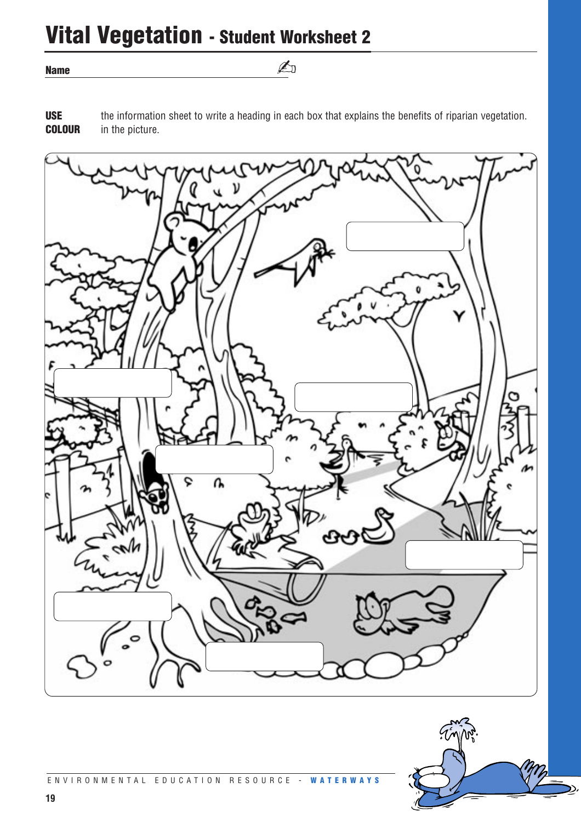# **Vital Vegetation - Student Worksheet 2**

**Name**

**USE** the information sheet to write a heading in each box that explains the benefits of riparian vegetation. **COLOUR** in the picture.

✍



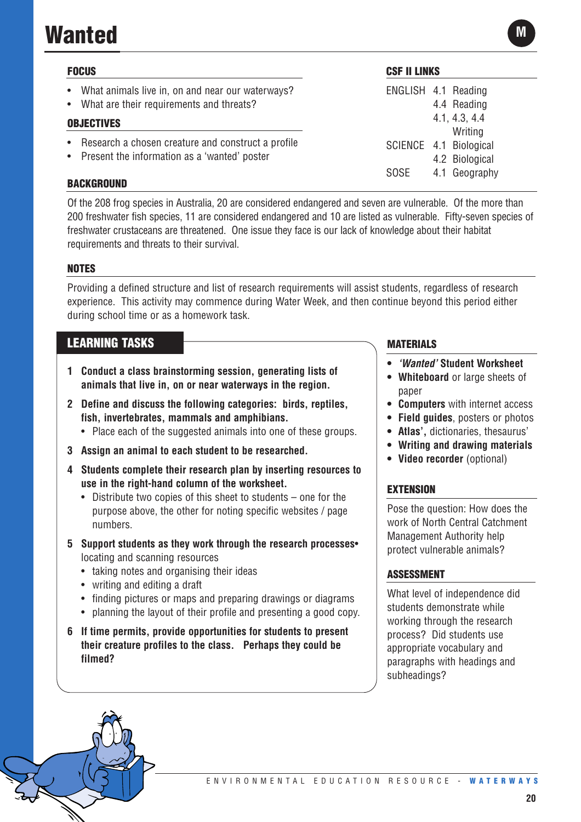# **Wanted**

| <b>FOCUS</b> |                                                                                                      |  |
|--------------|------------------------------------------------------------------------------------------------------|--|
|              | • What animals live in, on and near our waterways?<br>• What are their requirements and threats?     |  |
|              | <b>OBJECTIVES</b>                                                                                    |  |
| $\bullet$    | Research a chosen creature and construct a profile<br>• Present the information as a 'wanted' poster |  |

**BACKGROUND**

Of the 208 frog species in Australia, 20 are considered endangered and seven are vulnerable. Of the more than 200 freshwater fish species, 11 are considered endangered and 10 are listed as vulnerable. Fifty-seven species of freshwater crustaceans are threatened. One issue they face is our lack of knowledge about their habitat requirements and threats to their survival.

# **NOTES**

Providing a defined structure and list of research requirements will assist students, regardless of research experience. This activity may commence during Water Week, and then continue beyond this period either during school time or as a homework task.

# **LEARNING TASKS**

- **1 Conduct a class brainstorming session, generating lists of animals that live in, on or near waterways in the region.**
- **2 Define and discuss the following categories: birds, reptiles, fish, invertebrates, mammals and amphibians.** 
	- Place each of the suggested animals into one of these groups.
- **3 Assign an animal to each student to be researched.**
- **4 Students complete their research plan by inserting resources to use in the right-hand column of the worksheet.** 
	- Distribute two copies of this sheet to students one for the purpose above, the other for noting specific websites / page numbers.
- **5 Support students as they work through the research processes** locating and scanning resources
	- taking notes and organising their ideas
	- writing and editing a draft
	- finding pictures or maps and preparing drawings or diagrams
	- planning the layout of their profile and presenting a good copy.
- **6 If time permits, provide opportunities for students to present their creature profiles to the class. Perhaps they could be filmed?**

### **MATERIALS**

**CSF II LINKS**

ENGLISH 4.1 Reading

SCIENCE 4.1 Biological

SOSE 4.1 Geography

4.4 Reading 4.1, 4.3, 4.4 **Writing** 

4.2 Biological

- *'Wanted'* **Student Worksheet**
- **Whiteboard** or large sheets of paper
- **Computers** with internet access
- **Field guides**, posters or photos
- **Atlas',** dictionaries, thesaurus'
- **Writing and drawing materials**
- **Video recorder** (optional)

# **EXTENSION**

Pose the question: How does the work of North Central Catchment Management Authority help protect vulnerable animals?

#### **ASSESSMENT**

What level of independence did students demonstrate while working through the research process? Did students use appropriate vocabulary and paragraphs with headings and subheadings?

**M**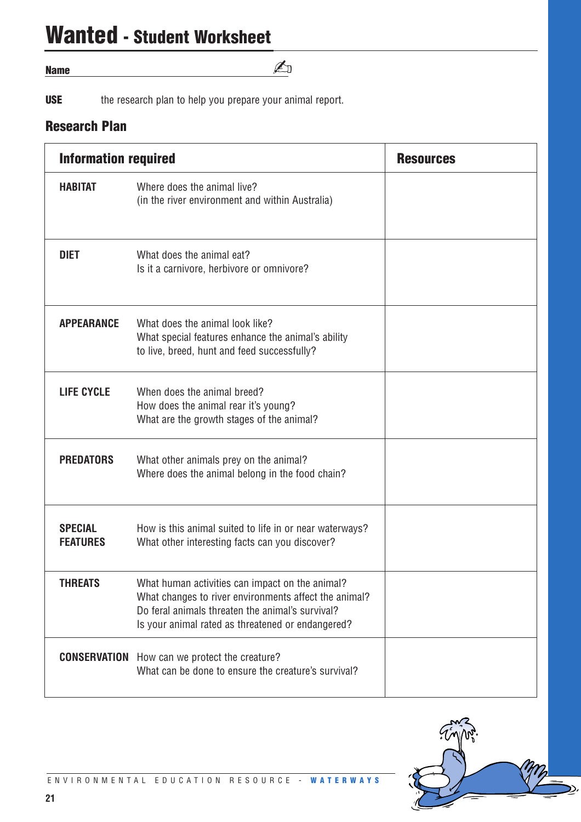# **Wanted - Student Worksheet**

#### **Name**

**USE** the research plan to help you prepare your animal report.

# **Research Plan**

| <b>Information required</b>       |                                                                                                                                                                                                                   | <b>Resources</b> |
|-----------------------------------|-------------------------------------------------------------------------------------------------------------------------------------------------------------------------------------------------------------------|------------------|
| <b>HABITAT</b>                    | Where does the animal live?<br>(in the river environment and within Australia)                                                                                                                                    |                  |
| <b>DIET</b>                       | What does the animal eat?<br>Is it a carnivore, herbivore or omnivore?                                                                                                                                            |                  |
| <b>APPEARANCE</b>                 | What does the animal look like?<br>What special features enhance the animal's ability<br>to live, breed, hunt and feed successfully?                                                                              |                  |
| <b>LIFE CYCLE</b>                 | When does the animal breed?<br>How does the animal rear it's young?<br>What are the growth stages of the animal?                                                                                                  |                  |
| <b>PREDATORS</b>                  | What other animals prey on the animal?<br>Where does the animal belong in the food chain?                                                                                                                         |                  |
| <b>SPECIAL</b><br><b>FEATURES</b> | How is this animal suited to life in or near waterways?<br>What other interesting facts can you discover?                                                                                                         |                  |
| <b>THREATS</b>                    | What human activities can impact on the animal?<br>What changes to river environments affect the animal?<br>Do feral animals threaten the animal's survival?<br>Is your animal rated as threatened or endangered? |                  |
| <b>CONSERVATION</b>               | How can we protect the creature?<br>What can be done to ensure the creature's survival?                                                                                                                           |                  |

✍

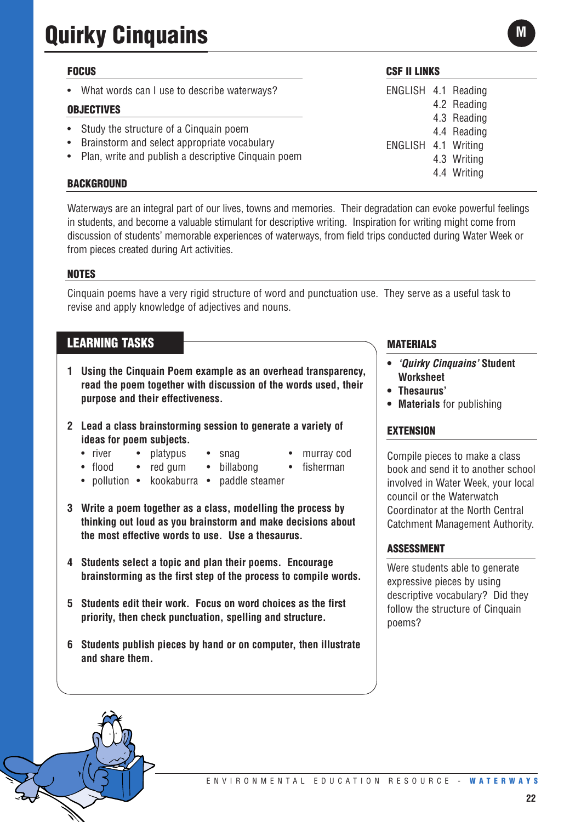# **Quirky Cinquains**

# **FOCUS**

What words can I use to describe waterways?

### **OBJECTIVES**

- Study the structure of a Cinquain poem
- Brainstorm and select appropriate vocabulary
- Plan, write and publish a descriptive Cinquain poem

### **BACKGROUND**

Waterways are an integral part of our lives, towns and memories. Their degradation can evoke powerful feelings in students, and become a valuable stimulant for descriptive writing. Inspiration for writing might come from discussion of students' memorable experiences of waterways, from field trips conducted during Water Week or from pieces created during Art activities.

### **NOTES**

Cinquain poems have a very rigid structure of word and punctuation use. They serve as a useful task to revise and apply knowledge of adjectives and nouns.

# **LEARNING TASKS**

- **1 Using the Cinquain Poem example as an overhead transparency, read the poem together with discussion of the words used, their purpose and their effectiveness.**
- **2 Lead a class brainstorming session to generate a variety of ideas for poem subjects.**
	- river platypus snag murray cod
		-
- 
- flood red gum billabong fisherman
- pollution kookaburra paddle steamer
- **3 Write a poem together as a class, modelling the process by thinking out loud as you brainstorm and make decisions about the most effective words to use. Use a thesaurus.**
- **4 Students select a topic and plan their poems. Encourage brainstorming as the first step of the process to compile words.**
- **5 Students edit their work. Focus on word choices as the first priority, then check punctuation, spelling and structure.**
- **6 Students publish pieces by hand or on computer, then illustrate and share them.**

# **MATERIALS**

- *'Quirky Cinquains'* **Student Worksheet**
- **Thesaurus'**
- **Materials** for publishing

#### **EXTENSION**

Compile pieces to make a class book and send it to another school involved in Water Week, your local council or the Waterwatch Coordinator at the North Central Catchment Management Authority.

# **ASSESSMENT**

Were students able to generate expressive pieces by using descriptive vocabulary? Did they follow the structure of Cinquain poems?

# **CSF II LINKS**

ENGLISH 4.1 Reading 4.2 Reading 4.3 Reading 4.4 Reading ENGLISH 4.1 Writing 4.3 Writing 4.4 Writing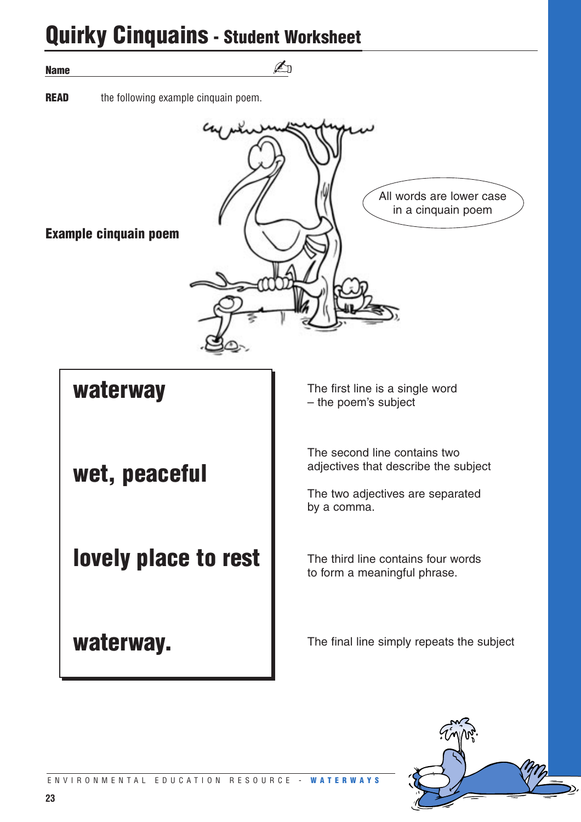# **Quirky Cinquains - Student Worksheet**

| <b>UUIINY UIIIUUUIIIS - SUUGIIL WUINSIIGGL</b>      |                                                                                                                         |  |
|-----------------------------------------------------|-------------------------------------------------------------------------------------------------------------------------|--|
| <b>Name</b>                                         |                                                                                                                         |  |
| <b>READ</b><br>the following example cinquain poem. |                                                                                                                         |  |
| <b>Example cinquain poem</b>                        | All words are lower case<br>in a cinquain poem                                                                          |  |
| waterway                                            | The first line is a single word<br>- the poem's subject                                                                 |  |
| wet, peaceful                                       | The second line contains two<br>adjectives that describe the subject<br>The two adjectives are separated<br>by a comma. |  |
| lovely place to rest                                | The third line contains four words<br>to form a meaningful phrase.                                                      |  |
| waterway.                                           | The final line simply repeats the subject                                                                               |  |

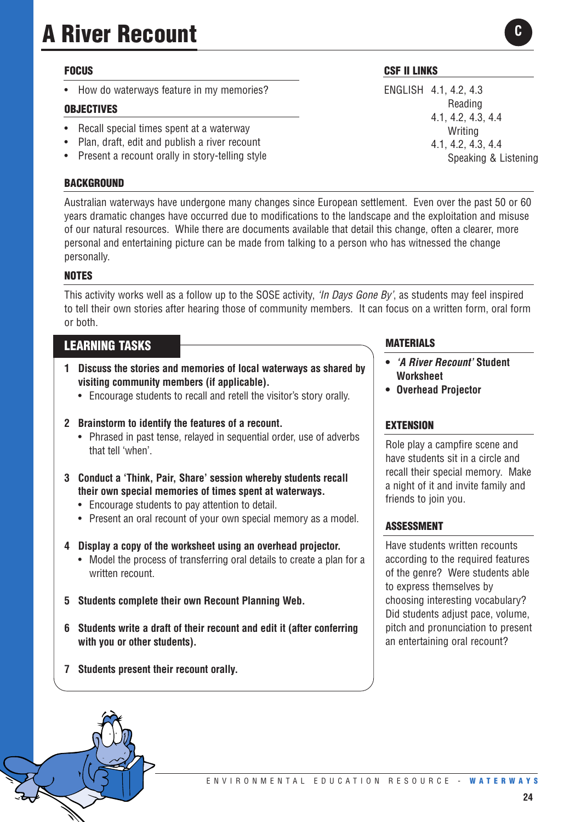# **A River Recount**

# **FOCUS**

• How do waterways feature in my memories?

# **OBJECTIVES**

- Recall special times spent at a waterway
- Plan, draft, edit and publish a river recount
- Present a recount orally in story-telling style

### **BACKGROUND**

Australian waterways have undergone many changes since European settlement. Even over the past 50 or 60 years dramatic changes have occurred due to modifications to the landscape and the exploitation and misuse of our natural resources. While there are documents available that detail this change, often a clearer, more personal and entertaining picture can be made from talking to a person who has witnessed the change personally.

# **NOTES**

This activity works well as a follow up to the SOSE activity, *'In Days Gone By'*, as students may feel inspired to tell their own stories after hearing those of community members. It can focus on a written form, oral form or both.

# **LEARNING TASKS**

- **1 Discuss the stories and memories of local waterways as shared by visiting community members (if applicable).**
	- Encourage students to recall and retell the visitor's story orally.

#### **2 Brainstorm to identify the features of a recount.**

- Phrased in past tense, relayed in sequential order, use of adverbs that tell 'when'.
- **3 Conduct a 'Think, Pair, Share' session whereby students recall their own special memories of times spent at waterways.**
	- Encourage students to pay attention to detail.
	- Present an oral recount of your own special memory as a model.
- **4 Display a copy of the worksheet using an overhead projector.** 
	- Model the process of transferring oral details to create a plan for a written recount.
- **5 Students complete their own Recount Planning Web.**
- **6 Students write a draft of their recount and edit it (after conferring with you or other students).**
- **7 Students present their recount orally.**

# **CSF II LINKS**

ENGLISH 4.1, 4.2, 4.3 Reading 4.1, 4.2, 4.3, 4.4 Writing 4.1, 4.2, 4.3, 4.4 Speaking & Listening

**C**

**MATERIALS**

- **•** *'A River Recount'* **Student Worksheet**
- **• Overhead Projector**

# **EXTENSION**

Role play a campfire scene and have students sit in a circle and recall their special memory. Make a night of it and invite family and friends to join you.

# **ASSESSMENT**

Have students written recounts according to the required features of the genre? Were students able to express themselves by choosing interesting vocabulary? Did students adjust pace, volume, pitch and pronunciation to present an entertaining oral recount?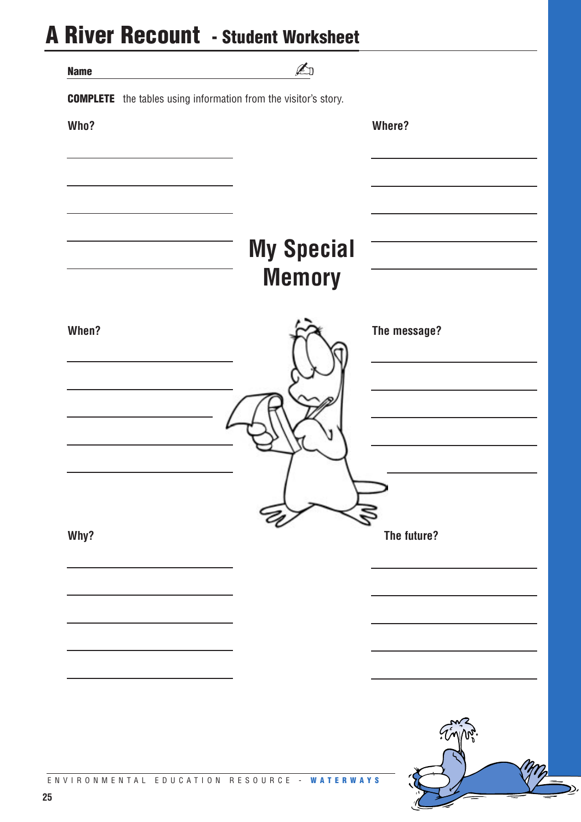# **A River Recount - Student Worksheet**

|             | <b>IJCOUNIIL - SLUUCIIL WUIKSIICCL</b>                                 |              |
|-------------|------------------------------------------------------------------------|--------------|
| <b>Name</b> | $\mathbb{Z}$                                                           |              |
|             | <b>COMPLETE</b> the tables using information from the visitor's story. |              |
| Who?        |                                                                        | Where?       |
|             |                                                                        |              |
|             |                                                                        |              |
|             |                                                                        |              |
|             |                                                                        |              |
|             | <b>My Special</b>                                                      |              |
|             | <b>Memory</b>                                                          |              |
|             |                                                                        |              |
| When?       |                                                                        | The message? |
|             |                                                                        |              |
|             |                                                                        |              |
|             |                                                                        |              |
|             |                                                                        |              |
|             |                                                                        |              |
|             |                                                                        |              |
| Why?        |                                                                        | The future?  |
|             |                                                                        |              |
|             |                                                                        |              |
|             |                                                                        |              |
|             |                                                                        |              |
|             |                                                                        |              |
|             |                                                                        |              |
|             |                                                                        |              |
|             |                                                                        |              |
|             | IVIRONMENTAL EDUCATION RESOURCE - WATERWAYS                            |              |

D,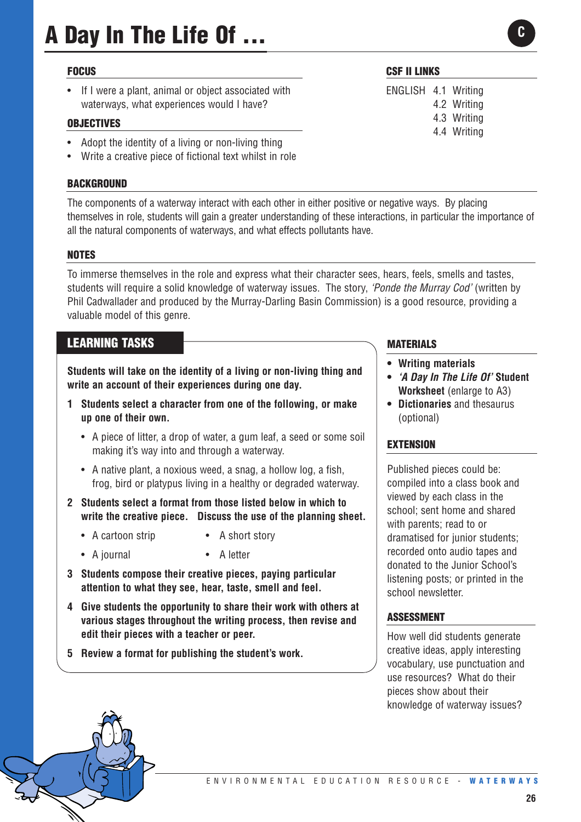# **A Day In The Life Of ...**

#### **FOCUS**

If I were a plant, animal or object associated with waterways, what experiences would I have?

#### **OBJECTIVES**

- Adopt the identity of a living or non-living thing
- Write a creative piece of fictional text whilst in role

#### **BACKGROUND**

The components of a waterway interact with each other in either positive or negative ways. By placing themselves in role, students will gain a greater understanding of these interactions, in particular the importance of all the natural components of waterways, and what effects pollutants have.

#### **NOTES**

To immerse themselves in the role and express what their character sees, hears, feels, smells and tastes, students will require a solid knowledge of waterway issues. The story, *'Ponde the Murray Cod'* (written by Phil Cadwallader and produced by the Murray-Darling Basin Commission) is a good resource, providing a valuable model of this genre.

# **LEARNING TASKS**

**Students will take on the identity of a living or non-living thing and write an account of their experiences during one day.** 

- **1 Students select a character from one of the following, or make up one of their own.**
	- A piece of litter, a drop of water, a gum leaf, a seed or some soil making it's way into and through a waterway.
	- A native plant, a noxious weed, a snag, a hollow log, a fish, frog, bird or platypus living in a healthy or degraded waterway.
- **2 Students select a format from those listed below in which to write the creative piece. Discuss the use of the planning sheet.**
	- A cartoon strip A short story
	- A journal A letter
- **3 Students compose their creative pieces, paying particular attention to what they see, hear, taste, smell and feel.**
- **4 Give students the opportunity to share their work with others at various stages throughout the writing process, then revise and edit their pieces with a teacher or peer.**
- **5 Review a format for publishing the student's work.**

#### **CSF II LINKS**

ENGLISH 4.1 Writing 4.2 Writing 4.3 Writing 4.4 Writing **C**

#### **MATERIALS**

- **Writing materials**
- *'A Day In The Life Of'* **Student Worksheet** (enlarge to A3)
- **Dictionaries** and thesaurus (optional)

#### **EXTENSION**

Published pieces could be: compiled into a class book and viewed by each class in the school; sent home and shared with parents; read to or dramatised for junior students; recorded onto audio tapes and donated to the Junior School's listening posts; or printed in the school newsletter.

#### **ASSESSMENT**

How well did students generate creative ideas, apply interesting vocabulary, use punctuation and use resources? What do their pieces show about their knowledge of waterway issues?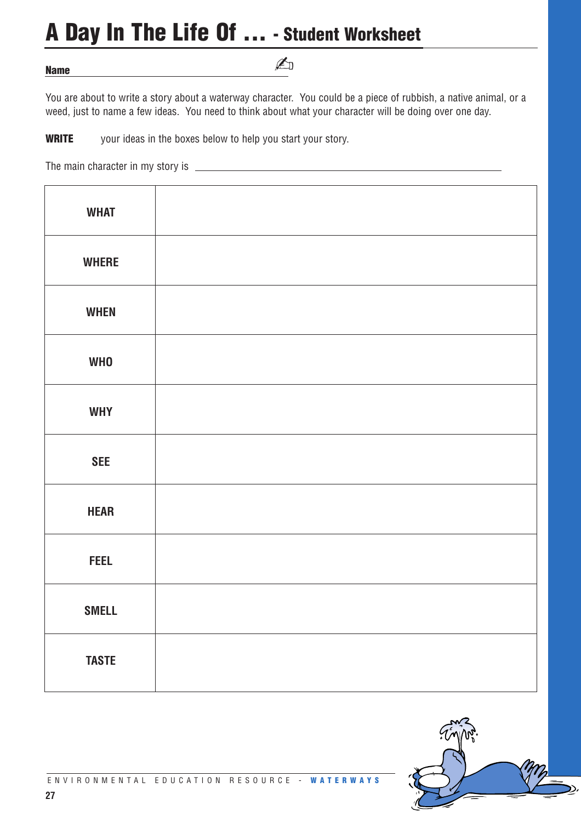# **A Day In The Life Of ... - Student Worksheet**

**Name** 

# ✍

You are about to write a story about a waterway character. You could be a piece of rubbish, a native animal, or a weed, just to name a few ideas. You need to think about what your character will be doing over one day.

**WRITE** your ideas in the boxes below to help you start your story.

The main character in my story is

| <b>WHAT</b>  |  |
|--------------|--|
| <b>WHERE</b> |  |
| <b>WHEN</b>  |  |
| <b>WHO</b>   |  |
| <b>WHY</b>   |  |
| <b>SEE</b>   |  |
| <b>HEAR</b>  |  |
| <b>FEEL</b>  |  |
| <b>SMELL</b> |  |
| <b>TASTE</b> |  |

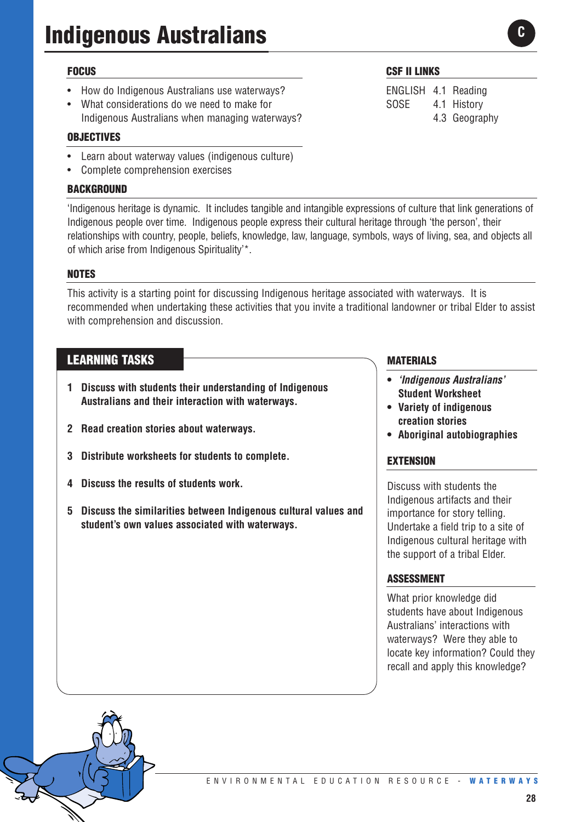# **Indigenous Australians**

### **FOCUS**

- How do Indigenous Australians use waterways?
- What considerations do we need to make for Indigenous Australians when managing waterways?

#### **OBJECTIVES**

- Learn about waterway values (indigenous culture)
- Complete comprehension exercises

### **BACKGROUND**

'Indigenous heritage is dynamic. It includes tangible and intangible expressions of culture that link generations of Indigenous people over time. Indigenous people express their cultural heritage through 'the person', their relationships with country, people, beliefs, knowledge, law, language, symbols, ways of living, sea, and objects all of which arise from Indigenous Spirituality'\*.

# **NOTES**

This activity is a starting point for discussing Indigenous heritage associated with waterways. It is recommended when undertaking these activities that you invite a traditional landowner or tribal Elder to assist with comprehension and discussion.

# **LEARNING TASKS**

- **1 Discuss with students their understanding of Indigenous Australians and their interaction with waterways.**
- **2 Read creation stories about waterways.**
- **3 Distribute worksheets for students to complete.**
- **4 Discuss the results of students work.**
- **5 Discuss the similarities between Indigenous cultural values and student's own values associated with waterways.**

#### **CSF II LINKS**

ENGLISH 4.1 Reading SOSE 4.1 History 4.3 Geography **C**

# **MATERIALS**

- **•** *'Indigenous Australians'* **Student Worksheet**
- **Variety of indigenous creation stories**
- **• Aboriginal autobiographies**

#### **EXTENSION**

Discuss with students the Indigenous artifacts and their importance for story telling. Undertake a field trip to a site of Indigenous cultural heritage with the support of a tribal Elder.

#### **ASSESSMENT**

What prior knowledge did students have about Indigenous Australians' interactions with waterways? Were they able to locate key information? Could they recall and apply this knowledge?

#### ENVIRONMENTAL EDUCATION RESOURCE - **W A TERWAYS**